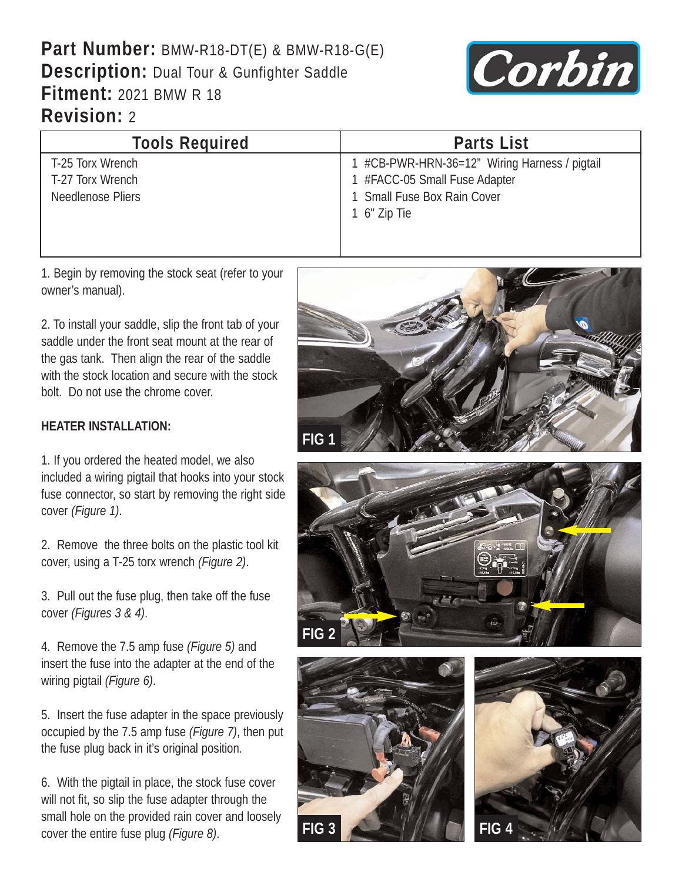## **Part Number:** BMW-R18-DT(E) & BMW-R18-G(E) **Description:** Dual Tour & Gunfighter Saddle **Fitment:** 2021 BMW R 18 **Revision:** 2



| <b>Tools Required</b> | <b>Parts List</b>                             |
|-----------------------|-----------------------------------------------|
| T-25 Torx Wrench      | 1 #CB-PWR-HRN-36=12" Wiring Harness / pigtail |
| T-27 Torx Wrench      | 1 #FACC-05 Small Fuse Adapter                 |
| Needlenose Pliers     | 1 Small Fuse Box Rain Cover                   |
|                       | 1 6" Zip Tie                                  |
|                       |                                               |
|                       |                                               |

1. Begin by removing the stock seat (refer to your owner's manual).

2. To install your saddle, slip the front tab of your saddle under the front seat mount at the rear of the gas tank. Then align the rear of the saddle with the stock location and secure with the stock bolt. Do not use the chrome cover.

## **HEATER INSTALLATION:**

1. If you ordered the heated model, we also included a wiring pigtail that hooks into your stock fuse connector, so start by removing the right side cover *(Figure 1)*.

2. Remove the three bolts on the plastic tool kit cover, using a T-25 torx wrench *(Figure 2)*.

3. Pull out the fuse plug, then take off the fuse cover *(Figures 3 & 4)*.

4. Remove the 7.5 amp fuse *(Figure 5)* and insert the fuse into the adapter at the end of the wiring pigtail *(Figure 6)*.

5. Insert the fuse adapter in the space previously occupied by the 7.5 amp fuse *(Figure 7)*, then put the fuse plug back in it's original position.

6. With the pigtail in place, the stock fuse cover will not fit, so slip the fuse adapter through the small hole on the provided rain cover and loosely cover the entire fuse plug *(Figure 8)*. **FIG 3 FIG 4**